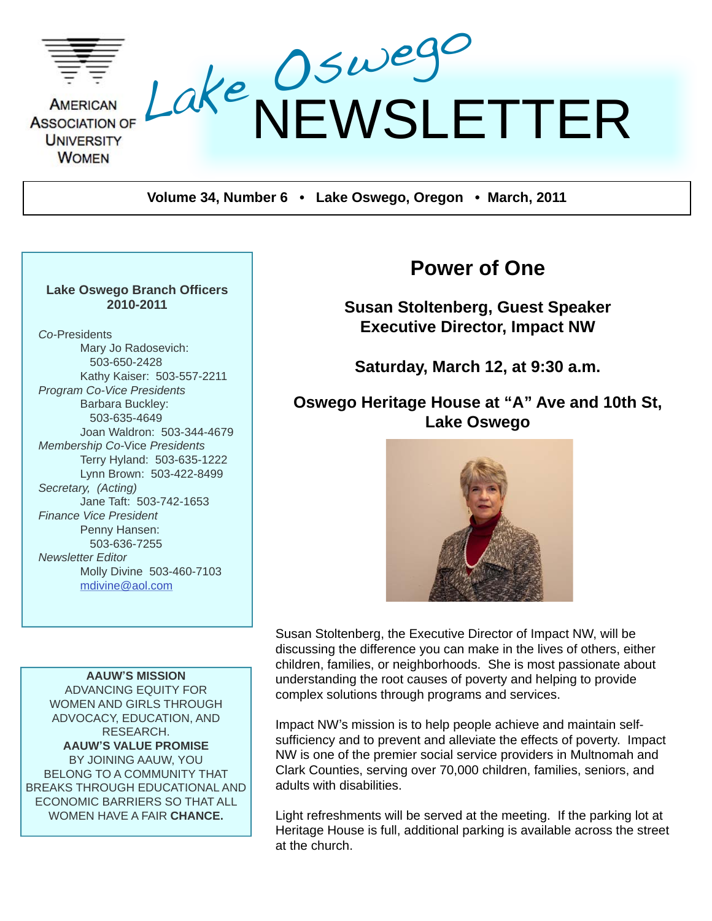

**Volume 34, Number 6 • Lake Oswego, Oregon • March, 2011**

#### **Lake Oswego Branch Officers 2010-2011**

*Co-*Presidents Mary Jo Radosevich: 503-650-2428 Kathy Kaiser: 503-557-2211 *Program Co-Vice Presidents* Barbara Buckley: 503-635-4649 Joan Waldron: 503-344-4679 *Membership Co-*Vice *Presidents* Terry Hyland: 503-635-1222 Lynn Brown: 503-422-8499 *Secretary, (Acting)* Jane Taft: 503-742-1653 *Finance Vice President* Penny Hansen: 503-636-7255 *Newsletter Editor* Molly Divine 503-460-7103 [mdivine@aol.com](mailto:mdivine@aol.com)

**AAUW'S MISSION** ADVANCING EQUITY FOR WOMEN AND GIRLS THROUGH ADVOCACY, EDUCATION, AND RESEARCH. **AAUW'S VALUE PROMISE** BY JOINING AAUW, YOU BELONG TO A COMMUNITY THAT BREAKS THROUGH EDUCATIONAL AND ECONOMIC BARRIERS SO THAT ALL WOMEN HAVE A FAIR **CHANCE.**

# **Power of One**

**Susan Stoltenberg, Guest Speaker Executive Director, Impact NW**

**Saturday, March 12, at 9:30 a.m.** 

#### **Oswego Heritage House at "A" Ave and 10th St, Lake Oswego**



Susan Stoltenberg, the Executive Director of Impact NW, will be discussing the difference you can make in the lives of others, either children, families, or neighborhoods. She is most passionate about understanding the root causes of poverty and helping to provide complex solutions through programs and services.

Impact NW's mission is to help people achieve and maintain selfsufficiency and to prevent and alleviate the effects of poverty. Impact NW is one of the premier social service providers in Multnomah and Clark Counties, serving over 70,000 children, families, seniors, and adults with disabilities.

Light refreshments will be served at the meeting. If the parking lot at Heritage House is full, additional parking is available across the street at the church.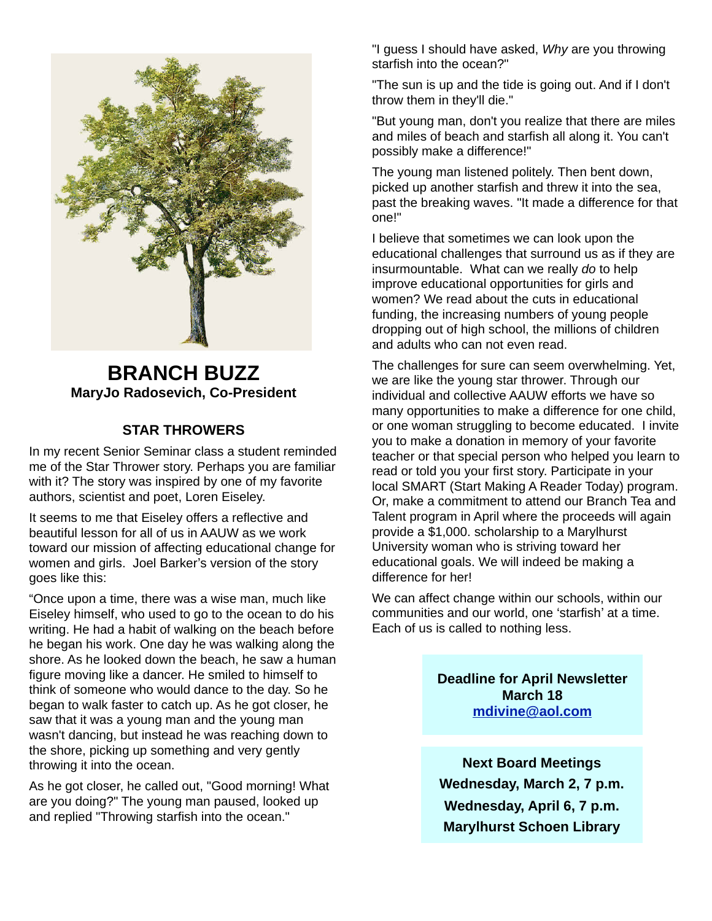

### **BRANCH BUZZ MaryJo Radosevich, Co-President**

#### **STAR THROWERS**

In my recent Senior Seminar class a student reminded me of the Star Thrower story. Perhaps you are familiar with it? The story was inspired by one of my favorite authors, scientist and poet, Loren Eiseley.

It seems to me that Eiseley offers a reflective and beautiful lesson for all of us in AAUW as we work toward our mission of affecting educational change for women and girls. Joel Barker's version of the story goes like this:

"Once upon a time, there was a wise man, much like Eiseley himself, who used to go to the ocean to do his writing. He had a habit of walking on the beach before he began his work. One day he was walking along the shore. As he looked down the beach, he saw a human figure moving like a dancer. He smiled to himself to think of someone who would dance to the day. So he began to walk faster to catch up. As he got closer, he saw that it was a young man and the young man wasn't dancing, but instead he was reaching down to the shore, picking up something and very gently throwing it into the ocean.

As he got closer, he called out, "Good morning! What are you doing?" The young man paused, looked up and replied "Throwing starfish into the ocean."

"I guess I should have asked, *Why* are you throwing starfish into the ocean?"

"The sun is up and the tide is going out. And if I don't throw them in they'll die."

"But young man, don't you realize that there are miles and miles of beach and starfish all along it. You can't possibly make a difference!"

The young man listened politely. Then bent down, picked up another starfish and threw it into the sea, past the breaking waves. "It made a difference for that one!"

I believe that sometimes we can look upon the educational challenges that surround us as if they are insurmountable. What can we really *do* to help improve educational opportunities for girls and women? We read about the cuts in educational funding, the increasing numbers of young people dropping out of high school, the millions of children and adults who can not even read.

The challenges for sure can seem overwhelming. Yet, we are like the young star thrower. Through our individual and collective AAUW efforts we have so many opportunities to make a difference for one child, or one woman struggling to become educated. I invite you to make a donation in memory of your favorite teacher or that special person who helped you learn to read or told you your first story. Participate in your local SMART (Start Making A Reader Today) program. Or, make a commitment to attend our Branch Tea and Talent program in April where the proceeds will again provide a \$1,000. scholarship to a Marylhurst University woman who is striving toward her educational goals. We will indeed be making a difference for her!

We can affect change within our schools, within our communities and our world, one ʻstarfish' at a time. Each of us is called to nothing less.

> **Deadline for April Newsletter March 18 [mdivine@aol.com](mailto:mdivine@aol.com)**

**Next Board Meetings Wednesday, March 2, 7 p.m. Wednesday, April 6, 7 p.m. Marylhurst Schoen Library**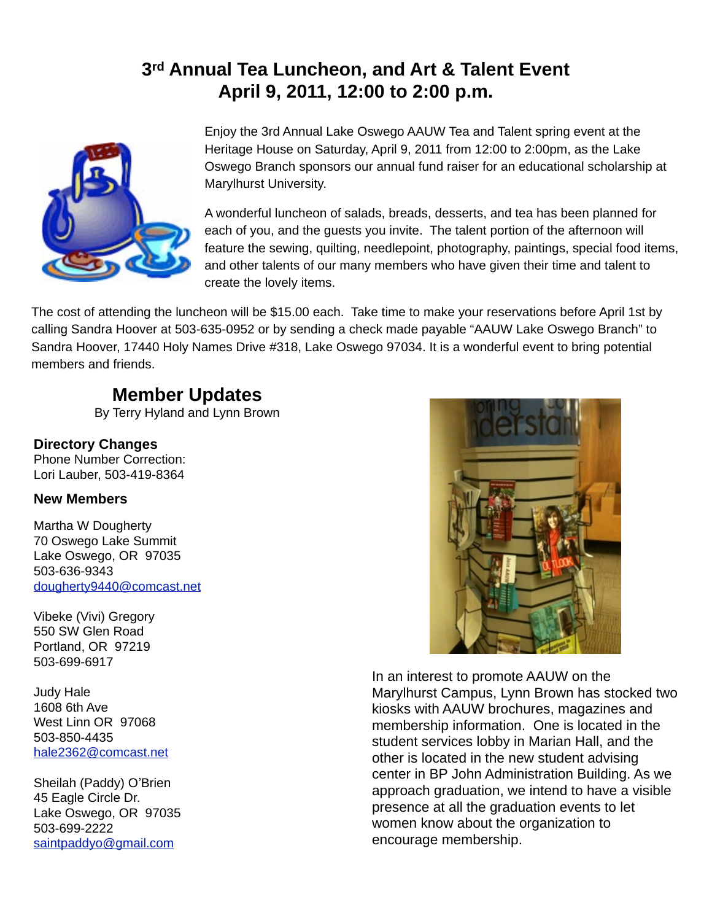## **3rd Annual Tea Luncheon, and Art & Talent Event April 9, 2011, 12:00 to 2:00 p.m.**



Enjoy the 3rd Annual Lake Oswego AAUW Tea and Talent spring event at the Heritage House on Saturday, April 9, 2011 from 12:00 to 2:00pm, as the Lake Oswego Branch sponsors our annual fund raiser for an educational scholarship at Marylhurst University.

A wonderful luncheon of salads, breads, desserts, and tea has been planned for each of you, and the guests you invite. The talent portion of the afternoon will feature the sewing, quilting, needlepoint, photography, paintings, special food items, and other talents of our many members who have given their time and talent to create the lovely items.

The cost of attending the luncheon will be \$15.00 each. Take time to make your reservations before April 1st by calling Sandra Hoover at 503-635-0952 or by sending a check made payable "AAUW Lake Oswego Branch" to Sandra Hoover, 17440 Holy Names Drive #318, Lake Oswego 97034. It is a wonderful event to bring potential members and friends.

## **Member Updates**

By Terry Hyland and Lynn Brown

#### **Directory Changes**

Phone Number Correction: Lori Lauber, 503-419-8364

#### **New Members**

Martha W Dougherty 70 Oswego Lake Summit Lake Oswego, OR 97035 503-636-9343 [dougherty9440@comcast.net](mailto:dougherty9440@comcast.net)

Vibeke (Vivi) Gregory 550 SW Glen Road Portland, OR 97219 503-699-6917

Judy Hale 1608 6th Ave West Linn OR 97068 503-850-4435 [hale2362@comcast.net](mailto:hale2362@comcast.net)

Sheilah (Paddy) O'Brien 45 Eagle Circle Dr. Lake Oswego, OR 97035 503-699-2222 [saintpaddyo@gmail.com](mailto:saintpaddyo@gmail.com)



In an interest to promote AAUW on the Marylhurst Campus, Lynn Brown has stocked two kiosks with AAUW brochures, magazines and membership information. One is located in the student services lobby in Marian Hall, and the other is located in the new student advising center in BP John Administration Building. As we approach graduation, we intend to have a visible presence at all the graduation events to let women know about the organization to encourage membership.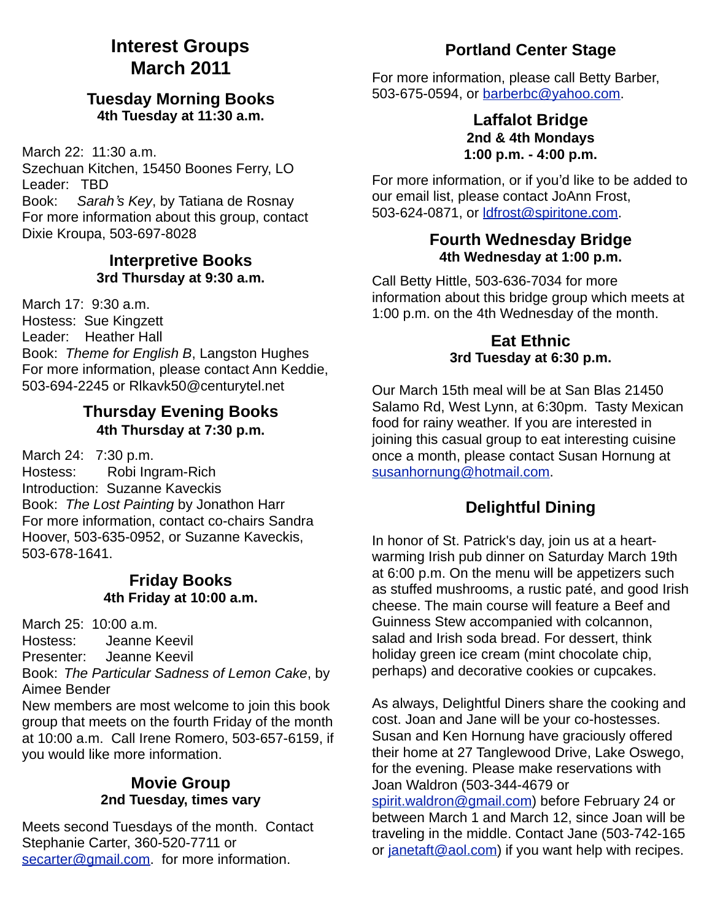## **Interest Groups March 2011**

#### **Tuesday Morning Books 4th Tuesday at 11:30 a.m.**

March 22: 11:30 a.m.

Szechuan Kitchen, 15450 Boones Ferry, LO Leader: TBD

Book: *Sarah*'*s Key*, by Tatiana de Rosnay For more information about this group, contact Dixie Kroupa, 503-697-8028

#### **Interpretive Books 3rd Thursday at 9:30 a.m.**

March 17: 9:30 a.m. Hostess: Sue Kingzett Leader: Heather Hall Book: *Theme for English B*, Langston Hughes For more information, please contact Ann Keddie, 503-694-2245 or Rlkavk50@centurytel.net

#### **Thursday Evening Books 4th Thursday at 7:30 p.m.**

March 24: 7:30 p.m.

Hostess: Robi Ingram-Rich Introduction: Suzanne Kaveckis Book: *The Lost Painting* by Jonathon Harr For more information, contact co-chairs Sandra Hoover, 503-635-0952, or Suzanne Kaveckis, 503-678-1641.

#### **Friday Books 4th Friday at 10:00 a.m.**

March 25: 10:00 a.m.

Hostess: Jeanne Keevil Presenter: Jeanne Keevil

Book: *The Particular Sadness of Lemon Cake*, by Aimee Bender

New members are most welcome to join this book group that meets on the fourth Friday of the month at 10:00 a.m. Call Irene Romero, 503-657-6159, if you would like more information.

#### **Movie Group 2nd Tuesday, times vary**

Meets second Tuesdays of the month. Contact Stephanie Carter, 360-520-7711 or [secarter@gmail.com.](mailto:secarter@gmail.com) for more information.

### **Portland Center Stage**

For more information, please call Betty Barber, 503-675-0594, or [barberbc@yahoo.com.](mailto:barberbc@yahoo.com)

#### **Laffalot Bridge 2nd & 4th Mondays 1:00 p.m. - 4:00 p.m.**

For more information, or if you'd like to be added to our email list, please contact JoAnn Frost, 503-624-0871, or [ldfrost@spiritone.com.](mailto:ldfrost@spiritone.com)

#### **Fourth Wednesday Bridge 4th Wednesday at 1:00 p.m.**

Call Betty Hittle, 503-636-7034 for more information about this bridge group which meets at 1:00 p.m. on the 4th Wednesday of the month.

#### **Eat Ethnic 3rd Tuesday at 6:30 p.m.**

Our March 15th meal will be at San Blas 21450 Salamo Rd, West Lynn, at 6:30pm. Tasty Mexican food for rainy weather. If you are interested in joining this casual group to eat interesting cuisine once a month, please contact Susan Hornung at [susanhornung@hotmail.com.](mailto:susanhornung@hotmail.com)

### **Delightful Dining**

In honor of St. Patrick's day, join us at a heartwarming Irish pub dinner on Saturday March 19th at 6:00 p.m. On the menu will be appetizers such as stuffed mushrooms, a rustic paté, and good Irish cheese. The main course will feature a Beef and Guinness Stew accompanied with colcannon, salad and Irish soda bread. For dessert, think holiday green ice cream (mint chocolate chip, perhaps) and decorative cookies or cupcakes.

As always, Delightful Diners share the cooking and cost. Joan and Jane will be your co-hostesses. Susan and Ken Hornung have graciously offered their home at 27 Tanglewood Drive, Lake Oswego, for the evening. Please make reservations with Joan Waldron (503-344-4679 or [spirit.waldron@gmail.com\)](mailto:spirit.waldron@gmail.com) before February 24 or between March 1 and March 12, since Joan will be traveling in the middle. Contact Jane (503-742-165 or [janetaft@aol.com\)](mailto:janetaft@aol.com) if you want help with recipes.